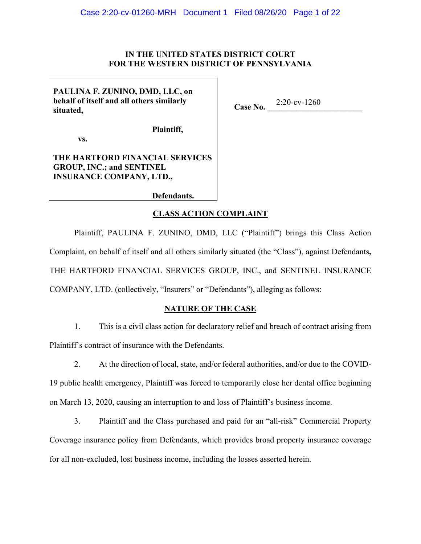## IN THE UNITED STATES DISTRICT COURT FOR THE WESTERN DISTRICT OF PENNSYLVANIA

# PAULINA F. ZUNINO, DMD, LLC, on behalf of itself and all others similarly situated.

Case No.  $2:20$ -cv-1260

Plaintiff,

VS.

## THE HARTFORD FINANCIAL SERVICES **GROUP, INC.; and SENTINEL INSURANCE COMPANY, LTD.,**

Defendants.

## **CLASS ACTION COMPLAINT**

Plaintiff, PAULINA F. ZUNINO, DMD, LLC ("Plaintiff") brings this Class Action Complaint, on behalf of itself and all others similarly situated (the "Class"), against Defendants, THE HARTFORD FINANCIAL SERVICES GROUP, INC., and SENTINEL INSURANCE COMPANY, LTD. (collectively, "Insurers" or "Defendants"), alleging as follows:

## **NATURE OF THE CASE**

1. This is a civil class action for declaratory relief and breach of contract arising from Plaintiff's contract of insurance with the Defendants.

 $2.$ At the direction of local, state, and/or federal authorities, and/or due to the COVID-19 public health emergency, Plaintiff was forced to temporarily close her dental office beginning on March 13, 2020, causing an interruption to and loss of Plaintiff's business income.

 $3.$ Plaintiff and the Class purchased and paid for an "all-risk" Commercial Property Coverage insurance policy from Defendants, which provides broad property insurance coverage for all non-excluded, lost business income, including the losses asserted herein.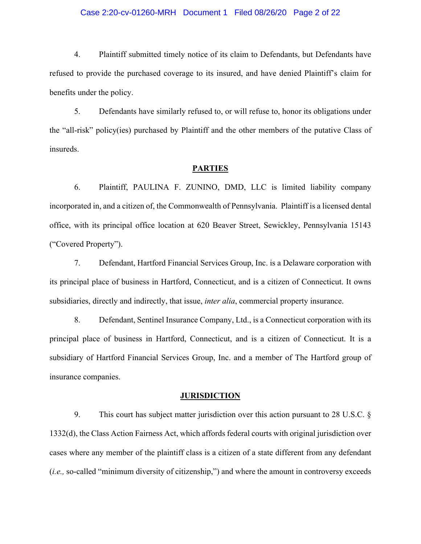### Case 2:20-cv-01260-MRH Document 1 Filed 08/26/20 Page 2 of 22

 $4.$ Plaintiff submitted timely notice of its claim to Defendants, but Defendants have refused to provide the purchased coverage to its insured, and have denied Plaintiff's claim for benefits under the policy.

5. Defendants have similarly refused to, or will refuse to, honor its obligations under the "all-risk" policy(ies) purchased by Plaintiff and the other members of the putative Class of insureds.

#### **PARTIES**

6. Plaintiff, PAULINA F. ZUNINO, DMD, LLC is limited liability company incorporated in, and a citizen of, the Commonwealth of Pennsylvania. Plaintiff is a licensed dental office, with its principal office location at 620 Beaver Street, Sewickley, Pennsylvania 15143 ("Covered Property").

7. Defendant, Hartford Financial Services Group, Inc. is a Delaware corporation with its principal place of business in Hartford, Connecticut, and is a citizen of Connecticut. It owns subsidiaries, directly and indirectly, that issue, *inter alia*, commercial property insurance.

8. Defendant, Sentinel Insurance Company, Ltd., is a Connecticut corporation with its principal place of business in Hartford, Connecticut, and is a citizen of Connecticut. It is a subsidiary of Hartford Financial Services Group, Inc. and a member of The Hartford group of insurance companies.

#### **JURISDICTION**

9. This court has subject matter jurisdiction over this action pursuant to 28 U.S.C.  $\S$ 1332(d), the Class Action Fairness Act, which affords federal courts with original jurisdiction over cases where any member of the plaintiff class is a citizen of a state different from any defendant (i.e., so-called "minimum diversity of citizenship,") and where the amount in controversy exceeds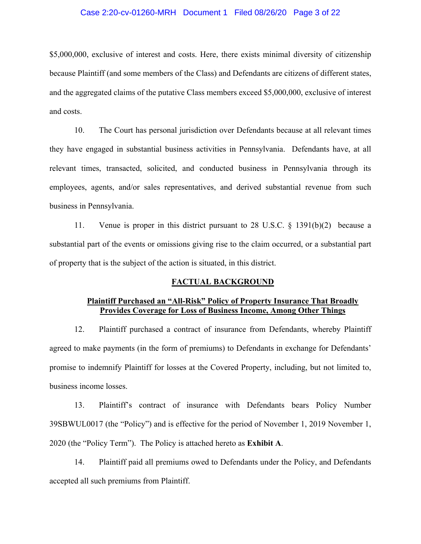### Case 2:20-cv-01260-MRH Document 1 Filed 08/26/20 Page 3 of 22

\$5,000,000, exclusive of interest and costs. Here, there exists minimal diversity of citizenship because Plaintiff (and some members of the Class) and Defendants are citizens of different states, and the aggregated claims of the putative Class members exceed \$5,000,000, exclusive of interest and costs.

10. The Court has personal jurisdiction over Defendants because at all relevant times they have engaged in substantial business activities in Pennsylvania. Defendants have, at all relevant times, transacted, solicited, and conducted business in Pennsylvania through its employees, agents, and/or sales representatives, and derived substantial revenue from such business in Pennsylvania.

Venue is proper in this district pursuant to 28 U.S.C.  $\S$  1391(b)(2) because a 11. substantial part of the events or omissions giving rise to the claim occurred, or a substantial part of property that is the subject of the action is situated, in this district.

### **FACTUAL BACKGROUND**

### **Plaintiff Purchased an "All-Risk" Policy of Property Insurance That Broadly** Provides Coverage for Loss of Business Income, Among Other Things

Plaintiff purchased a contract of insurance from Defendants, whereby Plaintiff 12. agreed to make payments (in the form of premiums) to Defendants in exchange for Defendants' promise to indemnify Plaintiff for losses at the Covered Property, including, but not limited to, business income losses.

Plaintiff's contract of insurance with Defendants bears Policy Number 13. 39SBWUL0017 (the "Policy") and is effective for the period of November 1, 2019 November 1, 2020 (the "Policy Term"). The Policy is attached hereto as Exhibit A.

14. Plaintiff paid all premiums owed to Defendants under the Policy, and Defendants accepted all such premiums from Plaintiff.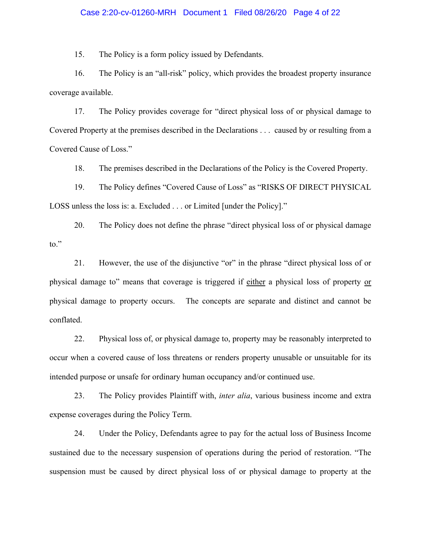### Case 2:20-cv-01260-MRH Document 1 Filed 08/26/20 Page 4 of 22

15. The Policy is a form policy issued by Defendants.

16. The Policy is an "all-risk" policy, which provides the broadest property insurance coverage available.

17. The Policy provides coverage for "direct physical loss of or physical damage to Covered Property at the premises described in the Declarations  $\ldots$  caused by or resulting from a Covered Cause of Loss."

18. The premises described in the Declarations of the Policy is the Covered Property.

19. The Policy defines "Covered Cause of Loss" as "RISKS OF DIRECT PHYSICAL LOSS unless the loss is: a. Excluded  $\ldots$  or Limited [under the Policy]."

20. The Policy does not define the phrase "direct physical loss of or physical damage  $\mathsf{to}$ ."

21. However, the use of the disjunctive "or" in the phrase "direct physical loss of or physical damage to" means that coverage is triggered if either a physical loss of property or physical damage to property occurs. The concepts are separate and distinct and cannot be conflated.

22. Physical loss of, or physical damage to, property may be reasonably interpreted to occur when a covered cause of loss threatens or renders property unusable or unsuitable for its intended purpose or unsafe for ordinary human occupancy and/or continued use.

23. The Policy provides Plaintiff with, *inter alia*, various business income and extra expense coverages during the Policy Term.

24. Under the Policy, Defendants agree to pay for the actual loss of Business Income sustained due to the necessary suspension of operations during the period of restoration. "The suspension must be caused by direct physical loss of or physical damage to property at the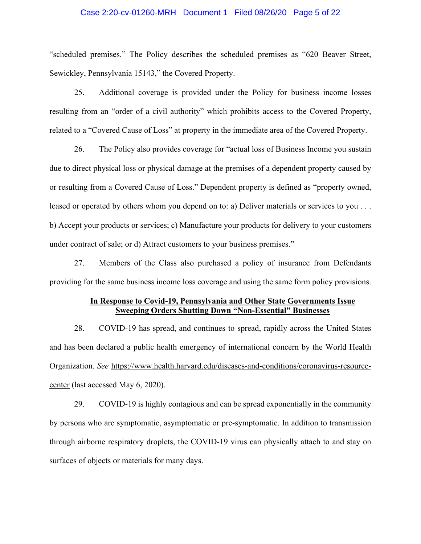### Case 2:20-cv-01260-MRH Document 1 Filed 08/26/20 Page 5 of 22

"scheduled premises." The Policy describes the scheduled premises as "620 Beaver Street, Sewickley, Pennsylvania 15143," the Covered Property.

25. Additional coverage is provided under the Policy for business income losses resulting from an "order of a civil authority" which prohibits access to the Covered Property, related to a "Covered Cause of Loss" at property in the immediate area of the Covered Property.

26. The Policy also provides coverage for "actual loss of Business Income you sustain due to direct physical loss or physical damage at the premises of a dependent property caused by or resulting from a Covered Cause of Loss." Dependent property is defined as "property owned, leased or operated by others whom you depend on to: a) Deliver materials or services to you ... b) Accept your products or services; c) Manufacture your products for delivery to your customers under contract of sale; or d) Attract customers to your business premises."

27. Members of the Class also purchased a policy of insurance from Defendants providing for the same business income loss coverage and using the same form policy provisions.

### In Response to Covid-19, Pennsylvania and Other State Governments Issue **Sweeping Orders Shutting Down "Non-Essential" Businesses**

28. COVID-19 has spread, and continues to spread, rapidly across the United States and has been declared a public health emergency of international concern by the World Health Organization. See https://www.health.harvard.edu/diseases-and-conditions/coronavirus-resourcecenter (last accessed May 6, 2020).

29. COVID-19 is highly contagious and can be spread exponentially in the community by persons who are symptomatic, asymptomatic or pre-symptomatic. In addition to transmission through airborne respiratory droplets, the COVID-19 virus can physically attach to and stay on surfaces of objects or materials for many days.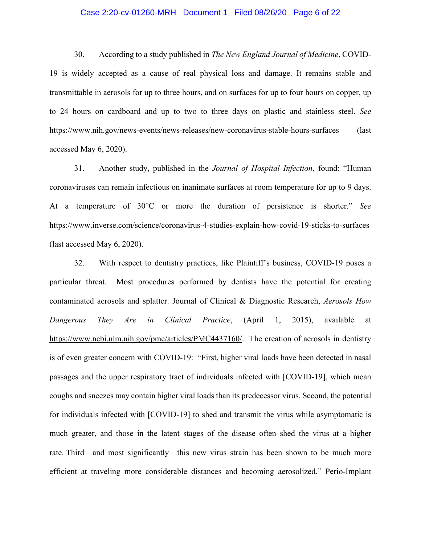### Case 2:20-cv-01260-MRH Document 1 Filed 08/26/20 Page 6 of 22

30. According to a study published in *The New England Journal of Medicine*, COVID-19 is widely accepted as a cause of real physical loss and damage. It remains stable and transmittable in aerosols for up to three hours, and on surfaces for up to four hours on copper, up to 24 hours on cardboard and up to two to three days on plastic and stainless steel. See https://www.nih.gov/news-events/news-releases/new-coronavirus-stable-hours-surfaces (last accessed May  $6, 2020$ ).

31. Another study, published in the *Journal of Hospital Infection*, found: "Human coronaviruses can remain infectious on inanimate surfaces at room temperature for up to 9 days. At a temperature of 30°C or more the duration of persistence is shorter." See https://www.inverse.com/science/coronavirus-4-studies-explain-how-covid-19-sticks-to-surfaces (last accessed May  $6, 2020$ ).

32. With respect to dentistry practices, like Plaintiff's business, COVID-19 poses a particular threat. Most procedures performed by dentists have the potential for creating contaminated aerosols and splatter. Journal of Clinical & Diagnostic Research, *Aerosols How Dangerous They Are in Clinical Practice*, (April 1, 2015), available at https://www.ncbi.nlm.nih.gov/pmc/articles/PMC4437160/. The creation of aerosols in dentistry is of even greater concern with COVID-19: "First, higher viral loads have been detected in nasal passages and the upper respiratory tract of individuals infected with [COVID-19], which mean coughs and sneezes may contain higher viral loads than its predecessor virus. Second, the potential for individuals infected with [COVID-19] to shed and transmit the virus while asymptomatic is much greater, and those in the latent stages of the disease often shed the virus at a higher rate. Third—and most significantly—this new virus strain has been shown to be much more efficient at traveling more considerable distances and becoming aerosolized." Perio-Implant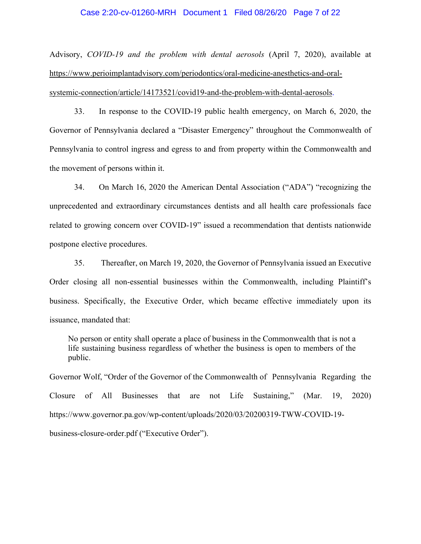### Case 2:20-cv-01260-MRH Document 1 Filed 08/26/20 Page 7 of 22

Advisory, COVID-19 and the problem with dental aerosols (April 7, 2020), available at https://www.perioimplantadvisory.com/periodontics/oral-medicine-anesthetics-and-oralsystemic-connection/article/14173521/covid19-and-the-problem-with-dental-aerosols.

33. In response to the COVID-19 public health emergency, on March 6, 2020, the Governor of Pennsylvania declared a "Disaster Emergency" throughout the Commonwealth of Pennsylvania to control ingress and egress to and from property within the Commonwealth and the movement of persons within it.

34. On March 16, 2020 the American Dental Association ("ADA") "recognizing the unprecedented and extraordinary circumstances dentists and all health care professionals face related to growing concern over COVID-19" issued a recommendation that dentists nationwide postpone elective procedures.

35. Thereafter, on March 19, 2020, the Governor of Pennsylvania issued an Executive Order closing all non-essential businesses within the Commonwealth, including Plaintiff's business. Specifically, the Executive Order, which became effective immediately upon its issuance, mandated that:

No person or entity shall operate a place of business in the Commonwealth that is not a life sustaining business regardless of whether the business is open to members of the public.

Governor Wolf, "Order of the Governor of the Commonwealth of Pennsylvania Regarding the Closure of All **Businesses** Sustaining." that are not Life (Mar. 19. 2020) https://www.governor.pa.gov/wp-content/uploads/2020/03/20200319-TWW-COVID-19business-closure-order.pdf ("Executive Order").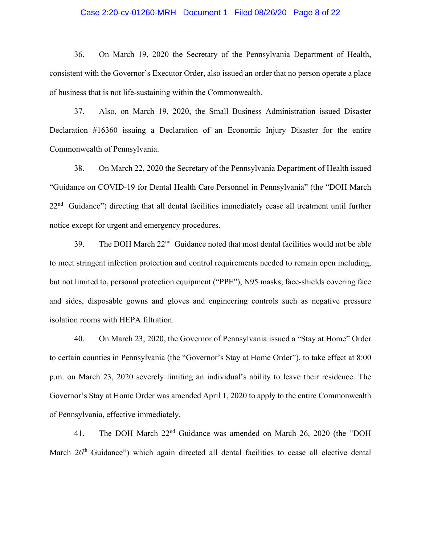### Case 2:20-cv-01260-MRH Document 1 Filed 08/26/20 Page 8 of 22

36. On March 19, 2020 the Secretary of the Pennsylvania Department of Health, consistent with the Governor's Executor Order, also issued an order that no person operate a place of business that is not life-sustaining within the Commonwealth.

37. Also, on March 19, 2020, the Small Business Administration issued Disaster Declaration #16360 issuing a Declaration of an Economic Injury Disaster for the entire Commonwealth of Pennsylvania.

38. On March 22, 2020 the Secretary of the Pennsylvania Department of Health issued "Guidance on COVID-19 for Dental Health Care Personnel in Pennsylvania" (the "DOH March 22<sup>nd</sup> Guidance") directing that all dental facilities immediately cease all treatment until further notice except for urgent and emergency procedures.

The DOH March 22<sup>nd</sup> Guidance noted that most dental facilities would not be able 39. to meet stringent infection protection and control requirements needed to remain open including, but not limited to, personal protection equipment ("PPE"), N95 masks, face-shields covering face and sides, disposable gowns and gloves and engineering controls such as negative pressure isolation rooms with HEPA filtration.

40. On March 23, 2020, the Governor of Pennsylvania issued a "Stay at Home" Order to certain counties in Pennsylvania (the "Governor's Stay at Home Order"), to take effect at 8:00 p.m. on March 23, 2020 severely limiting an individual's ability to leave their residence. The Governor's Stay at Home Order was amended April 1, 2020 to apply to the entire Commonwealth of Pennsylvania, effective immediately.

The DOH March 22<sup>nd</sup> Guidance was amended on March 26, 2020 (the "DOH 41. March 26<sup>th</sup> Guidance") which again directed all dental facilities to cease all elective dental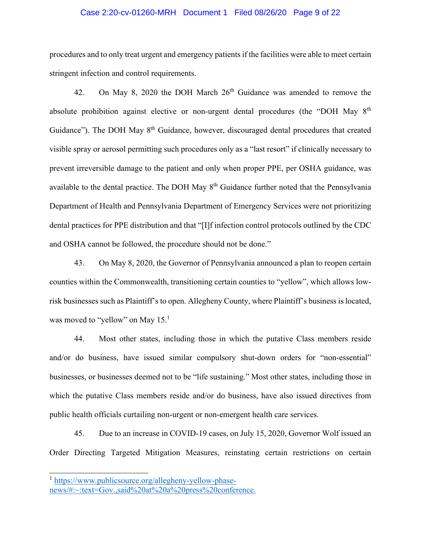### Case 2:20-cv-01260-MRH Document 1 Filed 08/26/20 Page 9 of 22

procedures and to only treat urgent and emergency patients if the facilities were able to meet certain stringent infection and control requirements.

42. On May 8, 2020 the DOH March  $26<sup>th</sup>$  Guidance was amended to remove the absolute prohibition against elective or non-urgent dental procedures (the "DOH May  $8<sup>th</sup>$ Guidance"). The DOH May 8<sup>th</sup> Guidance, however, discouraged dental procedures that created visible spray or aerosol permitting such procedures only as a "last resort" if clinically necessary to prevent irreversible damage to the patient and only when proper PPE, per OSHA guidance, was available to the dental practice. The DOH May 8<sup>th</sup> Guidance further noted that the Pennsylvania Department of Health and Pennsylvania Department of Emergency Services were not prioritizing dental practices for PPE distribution and that "[I]f infection control protocols outlined by the CDC and OSHA cannot be followed, the procedure should not be done."

43. On May 8, 2020, the Governor of Pennsylvania announced a plan to reopen certain counties within the Commonwealth, transitioning certain counties to "yellow", which allows lowrisk businesses such as Plaintiff's to open. Allegheny County, where Plaintiff's business is located, was moved to "yellow" on May  $15<sup>1</sup>$ 

44. Most other states, including those in which the putative Class members reside and/or do business, have issued similar compulsory shut-down orders for "non-essential" businesses, or businesses deemed not to be "life sustaining." Most other states, including those in which the putative Class members reside and/or do business, have also issued directives from public health officials curtailing non-urgent or non-emergent health care services.

45. Due to an increase in COVID-19 cases, on July 15, 2020, Governor Wolf issued an Order Directing Targeted Mitigation Measures, reinstating certain restrictions on certain

 $\frac{1}{1}$  https://www.publicsource.org/allegheny-yellow-phase-

news/#:~:text=Gov.,said%20at%20a%20press%20conference.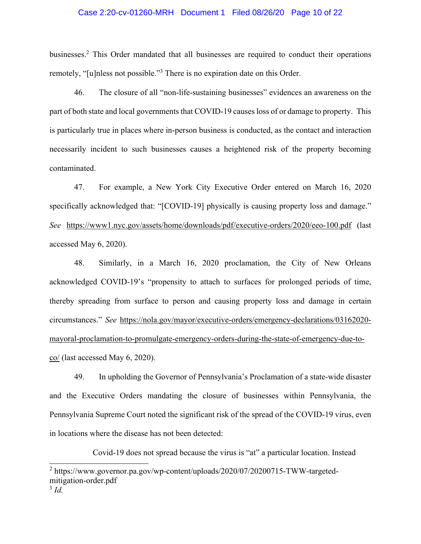### Case 2:20-cv-01260-MRH Document 1 Filed 08/26/20 Page 10 of 22

businesses.<sup>2</sup> This Order mandated that all businesses are required to conduct their operations remotely, "[u]nless not possible."<sup>3</sup> There is no expiration date on this Order.

The closure of all "non-life-sustaining businesses" evidences an awareness on the 46. part of both state and local governments that COVID-19 causes loss of or damage to property. This is particularly true in places where in-person business is conducted, as the contact and interaction necessarily incident to such businesses causes a heightened risk of the property becoming contaminated.

For example, a New York City Executive Order entered on March 16, 2020 47. specifically acknowledged that: "[COVID-19] physically is causing property loss and damage." See https://www1.nyc.gov/assets/home/downloads/pdf/executive-orders/2020/eeo-100.pdf (last accessed May 6, 2020).

48. Similarly, in a March 16, 2020 proclamation, the City of New Orleans acknowledged COVID-19's "propensity to attach to surfaces for prolonged periods of time, thereby spreading from surface to person and causing property loss and damage in certain circumstances." See https://nola.gov/mayor/executive-orders/emergency-declarations/03162020mayoral-proclamation-to-promulgate-emergency-orders-during-the-state-of-emergency-due-to- $\frac{\text{co}}{\text{as}}$  (last accessed May 6, 2020).

49. In upholding the Governor of Pennsylvania's Proclamation of a state-wide disaster and the Executive Orders mandating the closure of businesses within Pennsylvania, the Pennsylvania Supreme Court noted the significant risk of the spread of the COVID-19 virus, even in locations where the disease has not been detected:

Covid-19 does not spread because the virus is "at" a particular location. Instead

<sup>&</sup>lt;sup>2</sup> https://www.governor.pa.gov/wp-content/uploads/2020/07/20200715-TWW-targetedmitigation-order.pdf

 $3 \dot{d}$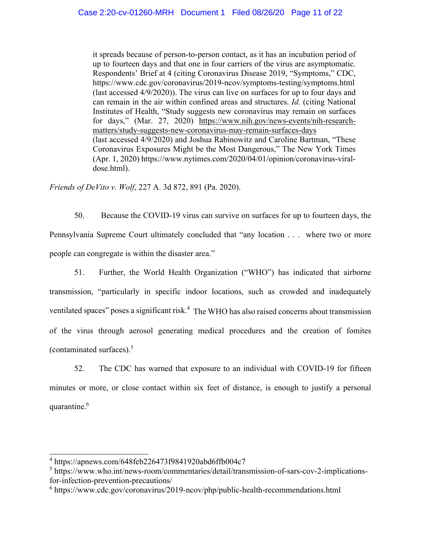it spreads because of person-to-person contact, as it has an incubation period of up to fourteen days and that one in four carriers of the virus are asymptomatic. Respondents' Brief at 4 (citing Coronavirus Disease 2019, "Symptoms," CDC, https://www.cdc.gov/coronavirus/2019-ncov/symptoms-testing/symptoms.html (last accessed 4/9/2020)). The virus can live on surfaces for up to four days and can remain in the air within confined areas and structures. Id. (citing National Institutes of Health, "Study suggests new coronavirus may remain on surfaces for days," (Mar. 27, 2020) https://www.nih.gov/news-events/nih-researchmatters/study-suggests-new-coronavirus-may-remain-surfaces-days (last accessed 4/9/2020) and Joshua Rabinowitz and Caroline Bartman, "These Coronavirus Exposures Might be the Most Dangerous," The New York Times (Apr. 1, 2020) https://www.nytimes.com/2020/04/01/opinion/coronavirus-viraldose.html).

Friends of DeVito v. Wolf, 227 A. 3d 872, 891 (Pa. 2020).

50. Because the COVID-19 virus can survive on surfaces for up to fourteen days, the Pennsylvania Supreme Court ultimately concluded that "any location . . . where two or more people can congregate is within the disaster area."

Further, the World Health Organization ("WHO") has indicated that airborne 51. transmission, "particularly in specific indoor locations, such as crowded and inadequately ventilated spaces" poses a significant risk.<sup>4</sup> The WHO has also raised concerns about transmission of the virus through aerosol generating medical procedures and the creation of fomites (contaminated surfaces). $5$ 

52. The CDC has warned that exposure to an individual with COVID-19 for fifteen minutes or more, or close contact within six feet of distance, is enough to justify a personal quarantine.<sup>6</sup>

 $4 \text{ https://apnews.com/648feb226473f9841920abd6ffb004c7}$ 

<sup>&</sup>lt;sup>5</sup> https://www.who.int/news-room/commentaries/detail/transmission-of-sars-cov-2-implicationsfor-infection-prevention-precautions/

 $6$  https://www.cdc.gov/coronavirus/2019-ncov/php/public-health-recommendations.html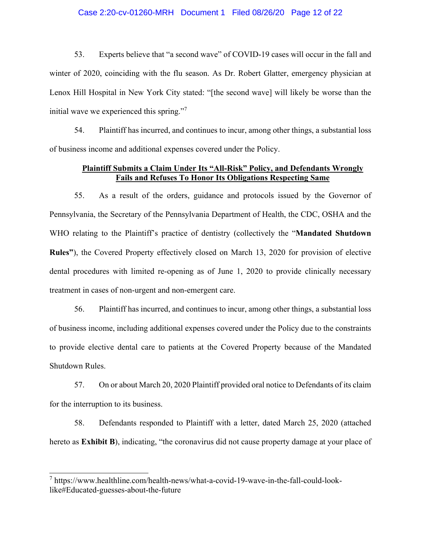### Case 2:20-cv-01260-MRH Document 1 Filed 08/26/20 Page 12 of 22

53. Experts believe that "a second wave" of COVID-19 cases will occur in the fall and winter of 2020, coinciding with the flu season. As Dr. Robert Glatter, emergency physician at Lenox Hill Hospital in New York City stated: "[the second wave] will likely be worse than the initial wave we experienced this spring."

54. Plaintiff has incurred, and continues to incur, among other things, a substantial loss of business income and additional expenses covered under the Policy.

## Plaintiff Submits a Claim Under Its "All-Risk" Policy, and Defendants Wrongly **Fails and Refuses To Honor Its Obligations Respecting Same**

As a result of the orders, guidance and protocols issued by the Governor of 55. Pennsylvania, the Secretary of the Pennsylvania Department of Health, the CDC, OSHA and the WHO relating to the Plaintiff's practice of dentistry (collectively the "Mandated Shutdown" **Rules**"), the Covered Property effectively closed on March 13, 2020 for provision of elective dental procedures with limited re-opening as of June 1, 2020 to provide clinically necessary treatment in cases of non-urgent and non-emergent care.

56. Plaintiff has incurred, and continues to incur, among other things, a substantial loss of business income, including additional expenses covered under the Policy due to the constraints to provide elective dental care to patients at the Covered Property because of the Mandated Shutdown Rules.

57. On or about March 20, 2020 Plaintiff provided oral notice to Defendants of its claim for the interruption to its business.

58. Defendants responded to Plaintiff with a letter, dated March 25, 2020 (attached hereto as Exhibit B), indicating, "the coronavirus did not cause property damage at your place of

 $7$  https://www.healthline.com/health-news/what-a-covid-19-wave-in-the-fall-could-looklike#Educated-guesses-about-the-future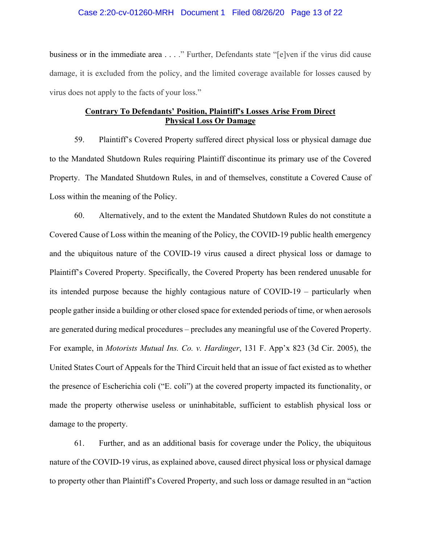### Case 2:20-cv-01260-MRH Document 1 Filed 08/26/20 Page 13 of 22

business or in the immediate area . . . ." Further, Defendants state "[e]ven if the virus did cause damage, it is excluded from the policy, and the limited coverage available for losses caused by virus does not apply to the facts of your loss."

# **Contrary To Defendants' Position, Plaintiff's Losses Arise From Direct Physical Loss Or Damage**

Plaintiff's Covered Property suffered direct physical loss or physical damage due 59. to the Mandated Shutdown Rules requiring Plaintiff discontinue its primary use of the Covered Property. The Mandated Shutdown Rules, in and of themselves, constitute a Covered Cause of Loss within the meaning of the Policy.

60. Alternatively, and to the extent the Mandated Shutdown Rules do not constitute a Covered Cause of Loss within the meaning of the Policy, the COVID-19 public health emergency and the ubiquitous nature of the COVID-19 virus caused a direct physical loss or damage to Plaintiff's Covered Property. Specifically, the Covered Property has been rendered unusable for its intended purpose because the highly contagious nature of COVID-19 – particularly when people gather inside a building or other closed space for extended periods of time, or when aerosols are generated during medical procedures – precludes any meaningful use of the Covered Property. For example, in *Motorists Mutual Ins. Co. v. Hardinger*, 131 F. App'x 823 (3d Cir. 2005), the United States Court of Appeals for the Third Circuit held that an issue of fact existed as to whether the presence of Escherichia coli ("E. coli") at the covered property impacted its functionality, or made the property otherwise useless or uninhabitable, sufficient to establish physical loss or damage to the property.

61. Further, and as an additional basis for coverage under the Policy, the ubiquitous nature of the COVID-19 virus, as explained above, caused direct physical loss or physical damage to property other than Plaintiff's Covered Property, and such loss or damage resulted in an "action"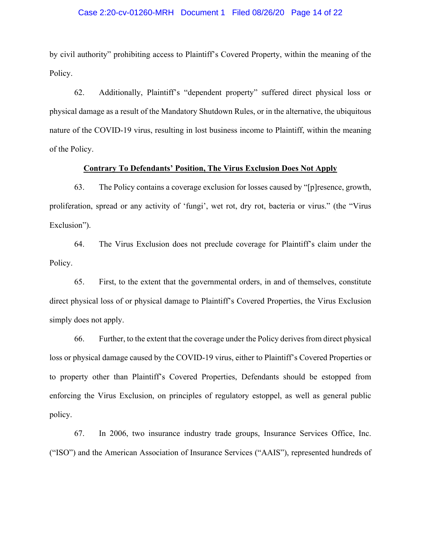### Case 2:20-cv-01260-MRH Document 1 Filed 08/26/20 Page 14 of 22

by civil authority" prohibiting access to Plaintiff's Covered Property, within the meaning of the Policy.

62. Additionally, Plaintiff's "dependent property" suffered direct physical loss or physical damage as a result of the Mandatory Shutdown Rules, or in the alternative, the ubiquitous nature of the COVID-19 virus, resulting in lost business income to Plaintiff, within the meaning of the Policy.

### **Contrary To Defendants' Position, The Virus Exclusion Does Not Apply**

63. The Policy contains a coverage exclusion for losses caused by "[p] resence, growth, proliferation, spread or any activity of 'fungi', wet rot, dry rot, bacteria or virus." (the "Virus Exclusion").

64. The Virus Exclusion does not preclude coverage for Plaintiff's claim under the Policy.

65. First, to the extent that the governmental orders, in and of themselves, constitute direct physical loss of or physical damage to Plaintiff's Covered Properties, the Virus Exclusion simply does not apply.

66. Further, to the extent that the coverage under the Policy derives from direct physical loss or physical damage caused by the COVID-19 virus, either to Plaintiff's Covered Properties or to property other than Plaintiff's Covered Properties, Defendants should be estopped from enforcing the Virus Exclusion, on principles of regulatory estoppel, as well as general public policy.

67. In 2006, two insurance industry trade groups, Insurance Services Office, Inc. ("ISO") and the American Association of Insurance Services ("AAIS"), represented hundreds of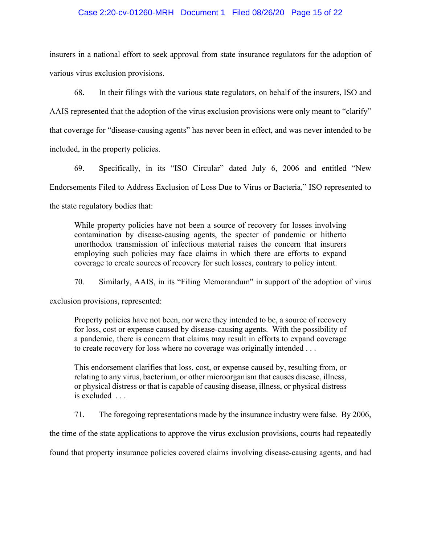### Case 2:20-cv-01260-MRH Document 1 Filed 08/26/20 Page 15 of 22

insurers in a national effort to seek approval from state insurance regulators for the adoption of various virus exclusion provisions.

68. In their filings with the various state regulators, on behalf of the insurers, ISO and AAIS represented that the adoption of the virus exclusion provisions were only meant to "clarify" that coverage for "disease-causing agents" has never been in effect, and was never intended to be included, in the property policies.

Specifically, in its "ISO Circular" dated July 6, 2006 and entitled "New 69. Endorsements Filed to Address Exclusion of Loss Due to Virus or Bacteria," ISO represented to the state regulatory bodies that:

While property policies have not been a source of recovery for losses involving contamination by disease-causing agents, the specter of pandemic or hitherto unorthodox transmission of infectious material raises the concern that insurers employing such policies may face claims in which there are efforts to expand coverage to create sources of recovery for such losses, contrary to policy intent.

70. Similarly, AAIS, in its "Filing Memorandum" in support of the adoption of virus

exclusion provisions, represented:

Property policies have not been, nor were they intended to be, a source of recovery for loss, cost or expense caused by disease-causing agents. With the possibility of a pandemic, there is concern that claims may result in efforts to expand coverage to create recovery for loss where no coverage was originally intended ...

This endorsement clarifies that loss, cost, or expense caused by, resulting from, or relating to any virus, bacterium, or other microorganism that causes disease, illness, or physical distress or that is capable of causing disease, illness, or physical distress  $is excluded...$ 

71. The foregoing representations made by the insurance industry were false. By 2006,

the time of the state applications to approve the virus exclusion provisions, courts had repeatedly

found that property insurance policies covered claims involving disease-causing agents, and had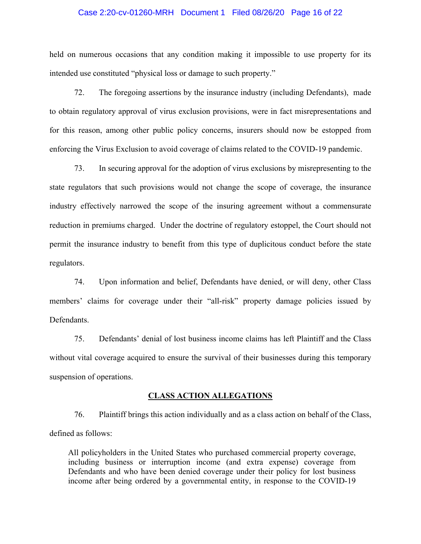### Case 2:20-cv-01260-MRH Document 1 Filed 08/26/20 Page 16 of 22

held on numerous occasions that any condition making it impossible to use property for its intended use constituted "physical loss or damage to such property."

72. The foregoing assertions by the insurance industry (including Defendants), made to obtain regulatory approval of virus exclusion provisions, were in fact misrepresentations and for this reason, among other public policy concerns, insurers should now be estopped from enforcing the Virus Exclusion to avoid coverage of claims related to the COVID-19 pandemic.

73. In securing approval for the adoption of virus exclusions by misrepresenting to the state regulators that such provisions would not change the scope of coverage, the insurance industry effectively narrowed the scope of the insuring agreement without a commensurate reduction in premiums charged. Under the doctrine of regulatory estoppel, the Court should not permit the insurance industry to benefit from this type of duplicitous conduct before the state regulators.

74. Upon information and belief, Defendants have denied, or will deny, other Class members' claims for coverage under their "all-risk" property damage policies issued by Defendants.

75. Defendants' denial of lost business income claims has left Plaintiff and the Class without vital coverage acquired to ensure the survival of their businesses during this temporary suspension of operations.

#### **CLASS ACTION ALLEGATIONS**

76. Plaintiff brings this action individually and as a class action on behalf of the Class, defined as follows:

All policyholders in the United States who purchased commercial property coverage, including business or interruption income (and extra expense) coverage from Defendants and who have been denied coverage under their policy for lost business income after being ordered by a governmental entity, in response to the COVID-19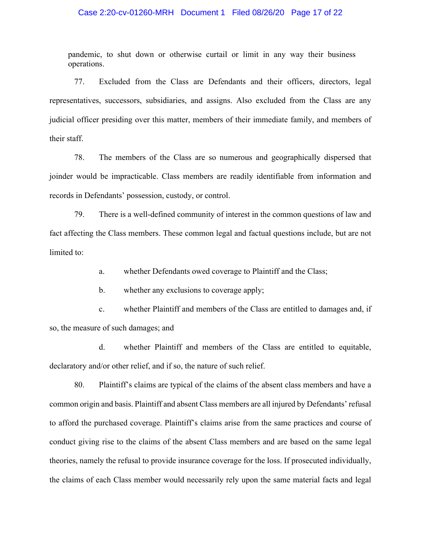### Case 2:20-cv-01260-MRH Document 1 Filed 08/26/20 Page 17 of 22

pandemic, to shut down or otherwise curtail or limit in any way their business operations.

77. Excluded from the Class are Defendants and their officers, directors, legal representatives, successors, subsidiaries, and assigns. Also excluded from the Class are any judicial officer presiding over this matter, members of their immediate family, and members of their staff.

78. The members of the Class are so numerous and geographically dispersed that joinder would be impracticable. Class members are readily identifiable from information and records in Defendants' possession, custody, or control.

79. There is a well-defined community of interest in the common questions of law and fact affecting the Class members. These common legal and factual questions include, but are not limited to:

> whether Defendants owed coverage to Plaintiff and the Class; a.

 $\mathbf{b}$ . whether any exclusions to coverage apply;

 $\mathbf{c}$ . whether Plaintiff and members of the Class are entitled to damages and, if so, the measure of such damages; and

d. whether Plaintiff and members of the Class are entitled to equitable, declaratory and/or other relief, and if so, the nature of such relief.

80. Plaintiff's claims are typical of the claims of the absent class members and have a common origin and basis. Plaintiff and absent Class members are all injured by Defendants' refusal to afford the purchased coverage. Plaintiff's claims arise from the same practices and course of conduct giving rise to the claims of the absent Class members and are based on the same legal theories, namely the refusal to provide insurance coverage for the loss. If prosecuted individually, the claims of each Class member would necessarily rely upon the same material facts and legal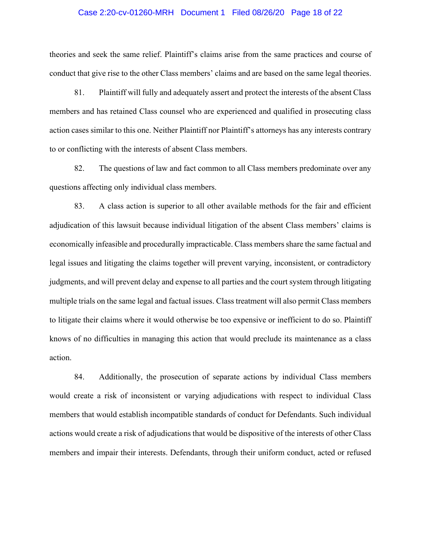### Case 2:20-cv-01260-MRH Document 1 Filed 08/26/20 Page 18 of 22

theories and seek the same relief. Plaintiff's claims arise from the same practices and course of conduct that give rise to the other Class members' claims and are based on the same legal theories.

81. Plaintiff will fully and adequately assert and protect the interests of the absent Class members and has retained Class counsel who are experienced and qualified in prosecuting class action cases similar to this one. Neither Plaintiff nor Plaintiff's attorneys has any interests contrary to or conflicting with the interests of absent Class members.

82. The questions of law and fact common to all Class members predominate over any questions affecting only individual class members.

83. A class action is superior to all other available methods for the fair and efficient adjudication of this lawsuit because individual litigation of the absent Class members' claims is economically infeasible and procedurally impracticable. Class members share the same factual and legal issues and litigating the claims together will prevent varying, inconsistent, or contradictory judgments, and will prevent delay and expense to all parties and the court system through litigating multiple trials on the same legal and factual issues. Class treatment will also permit Class members to litigate their claims where it would otherwise be too expensive or inefficient to do so. Plaintiff knows of no difficulties in managing this action that would preclude its maintenance as a class action.

84. Additionally, the prosecution of separate actions by individual Class members would create a risk of inconsistent or varying adjudications with respect to individual Class members that would establish incompatible standards of conduct for Defendants. Such individual actions would create a risk of adjudications that would be dispositive of the interests of other Class members and impair their interests. Defendants, through their uniform conduct, acted or refused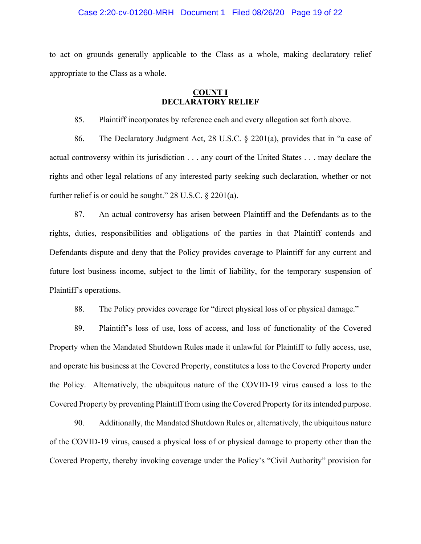### Case 2:20-cv-01260-MRH Document 1 Filed 08/26/20 Page 19 of 22

to act on grounds generally applicable to the Class as a whole, making declaratory relief appropriate to the Class as a whole.

## **COUNT I DECLARATORY RELIEF**

Plaintiff incorporates by reference each and every allegation set forth above. 85.

The Declaratory Judgment Act, 28 U.S.C.  $\S$  2201(a), provides that in "a case of 86. actual controversy within its jurisdiction . . . any court of the United States . . . may declare the rights and other legal relations of any interested party seeking such declaration, whether or not further relief is or could be sought."  $28$  U.S.C.  $\S$   $2201(a)$ .

An actual controversy has arisen between Plaintiff and the Defendants as to the 87. rights, duties, responsibilities and obligations of the parties in that Plaintiff contends and Defendants dispute and deny that the Policy provides coverage to Plaintiff for any current and future lost business income, subject to the limit of liability, for the temporary suspension of Plaintiff's operations.

88. The Policy provides coverage for "direct physical loss of or physical damage."

89. Plaintiff's loss of use, loss of access, and loss of functionality of the Covered Property when the Mandated Shutdown Rules made it unlawful for Plaintiff to fully access, use, and operate his business at the Covered Property, constitutes a loss to the Covered Property under the Policy. Alternatively, the ubiquitous nature of the COVID-19 virus caused a loss to the Covered Property by preventing Plaintiff from using the Covered Property for its intended purpose.

90. Additionally, the Mandated Shutdown Rules or, alternatively, the ubiquitous nature of the COVID-19 virus, caused a physical loss of or physical damage to property other than the Covered Property, thereby invoking coverage under the Policy's "Civil Authority" provision for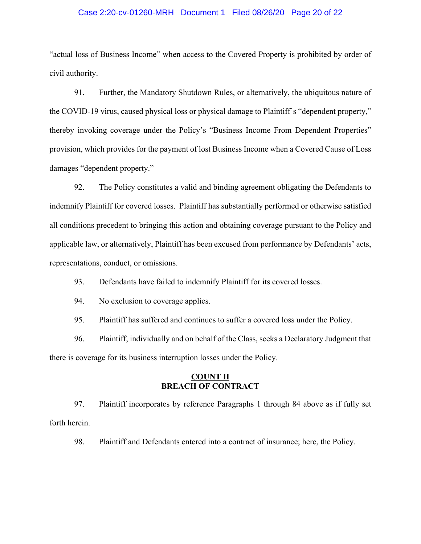### Case 2:20-cv-01260-MRH Document 1 Filed 08/26/20 Page 20 of 22

"actual loss of Business Income" when access to the Covered Property is prohibited by order of civil authority.

91. Further, the Mandatory Shutdown Rules, or alternatively, the ubiquitous nature of the COVID-19 virus, caused physical loss or physical damage to Plaintiff's "dependent property," thereby invoking coverage under the Policy's "Business Income From Dependent Properties" provision, which provides for the payment of lost Business Income when a Covered Cause of Loss damages "dependent property."

92. The Policy constitutes a valid and binding agreement obligating the Defendants to indemnify Plaintiff for covered losses. Plaintiff has substantially performed or otherwise satisfied all conditions precedent to bringing this action and obtaining coverage pursuant to the Policy and applicable law, or alternatively, Plaintiff has been excused from performance by Defendants' acts, representations, conduct, or omissions.

93. Defendants have failed to indemnify Plaintiff for its covered losses.

94. No exclusion to coverage applies.

95. Plaintiff has suffered and continues to suffer a covered loss under the Policy.

96. Plaintiff, individually and on behalf of the Class, seeks a Declaratory Judgment that there is coverage for its business interruption losses under the Policy.

### **COUNT II BREACH OF CONTRACT**

97. Plaintiff incorporates by reference Paragraphs 1 through 84 above as if fully set forth herein.

98. Plaintiff and Defendants entered into a contract of insurance; here, the Policy.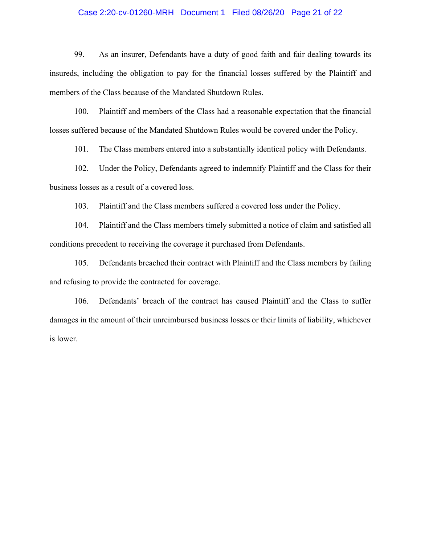## Case 2:20-cv-01260-MRH Document 1 Filed 08/26/20 Page 21 of 22

99. As an insurer, Defendants have a duty of good faith and fair dealing towards its insureds, including the obligation to pay for the financial losses suffered by the Plaintiff and members of the Class because of the Mandated Shutdown Rules.

100. Plaintiff and members of the Class had a reasonable expectation that the financial losses suffered because of the Mandated Shutdown Rules would be covered under the Policy.

101. The Class members entered into a substantially identical policy with Defendants.

102. Under the Policy, Defendants agreed to indemnify Plaintiff and the Class for their business losses as a result of a covered loss.

 $103.$ Plaintiff and the Class members suffered a covered loss under the Policy.

Plaintiff and the Class members timely submitted a notice of claim and satisfied all 104. conditions precedent to receiving the coverage it purchased from Defendants.

105. Defendants breached their contract with Plaintiff and the Class members by failing and refusing to provide the contracted for coverage.

Defendants' breach of the contract has caused Plaintiff and the Class to suffer 106. damages in the amount of their unreimbursed business losses or their limits of liability, whichever is lower.